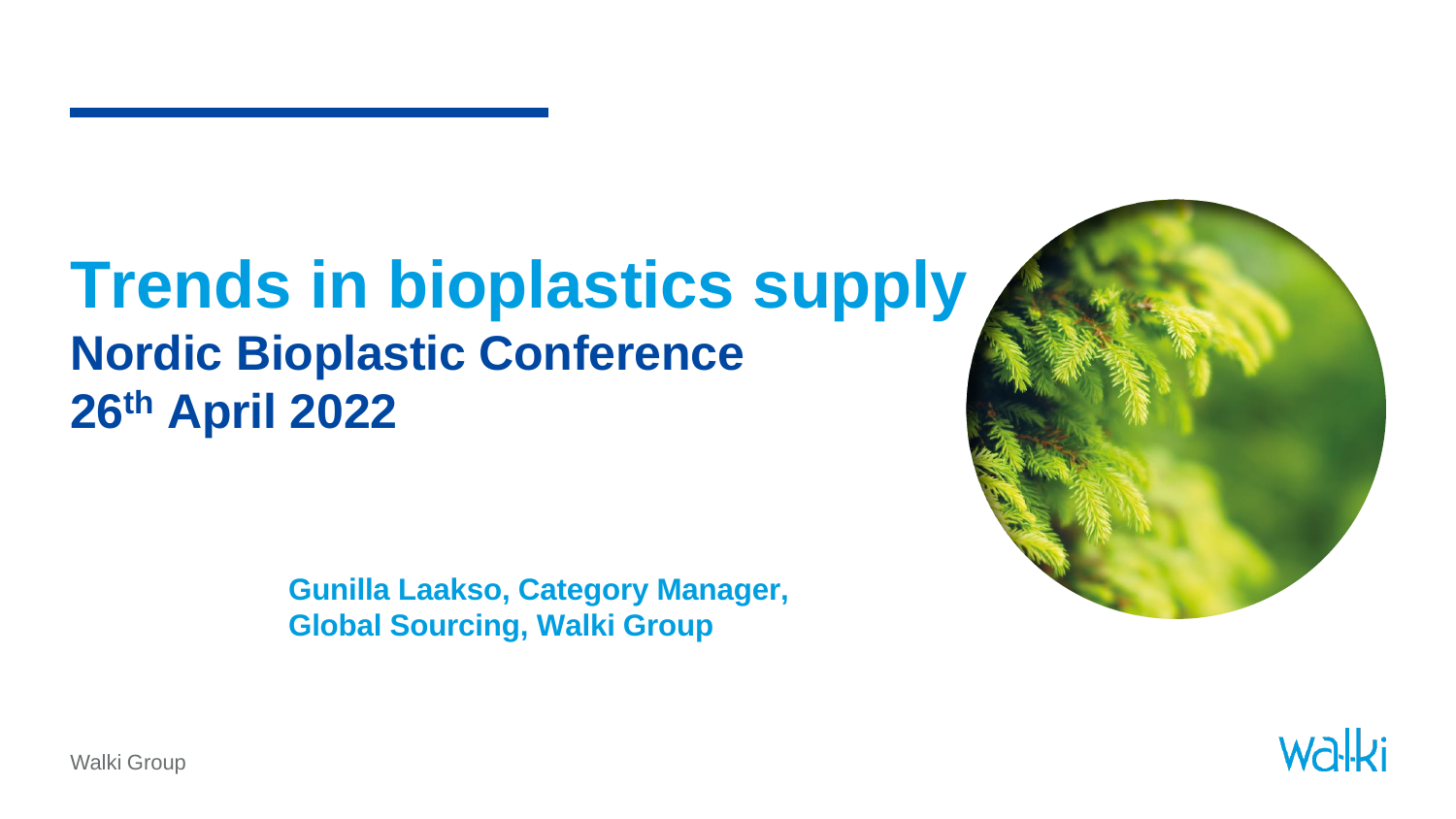### **Trends in bioplastics supply Nordic Bioplastic Conference 26th April 2022**

**Gunilla Laakso, Category Manager, Global Sourcing, Walki Group**





Walki Group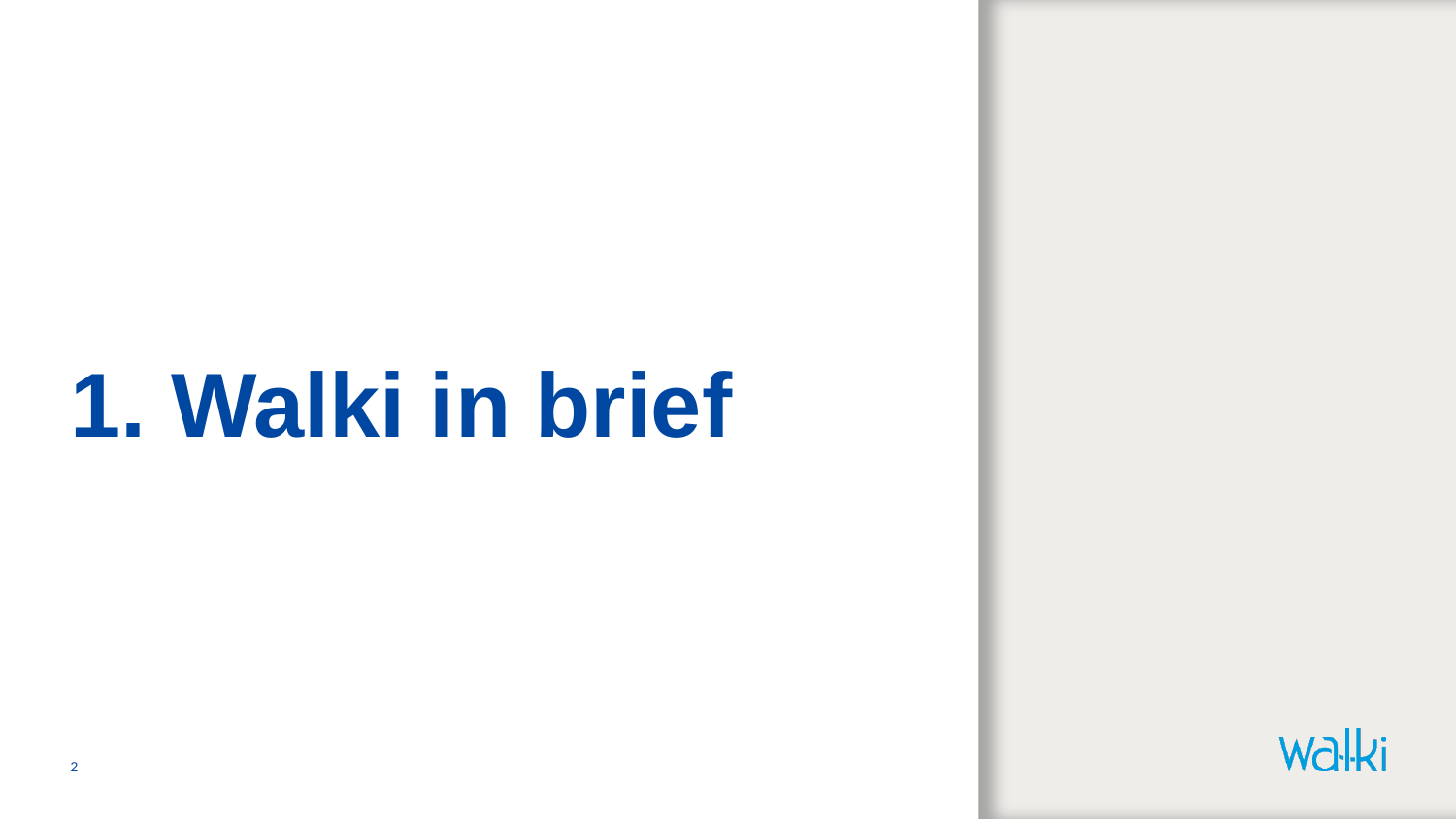### **1. Walki in brief**

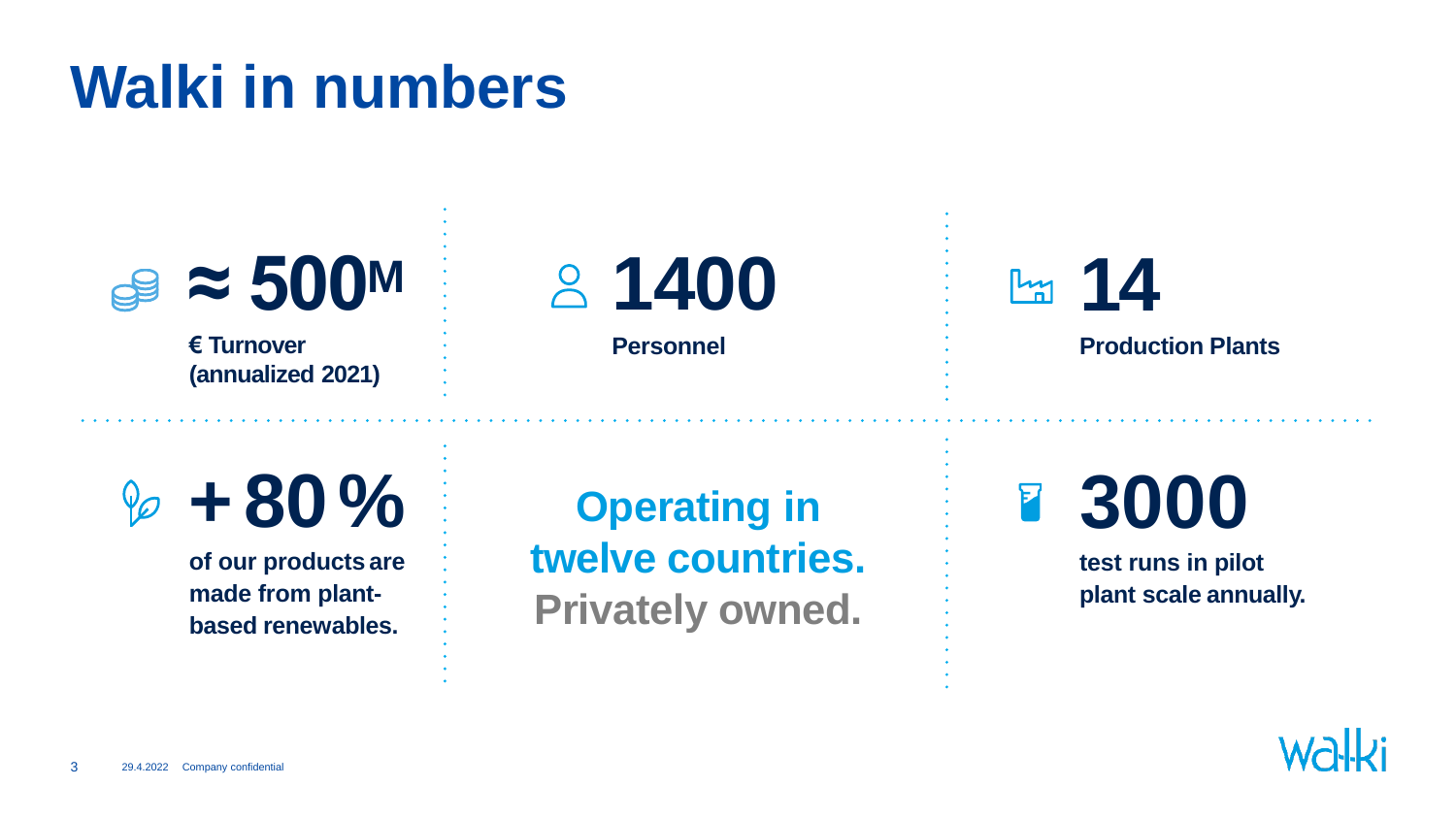### **Walki in numbers**



**of our products are made from plantbased renewables.**

**twelve countries. Privately owned.**

**test runs in pilot plant scale annually.**

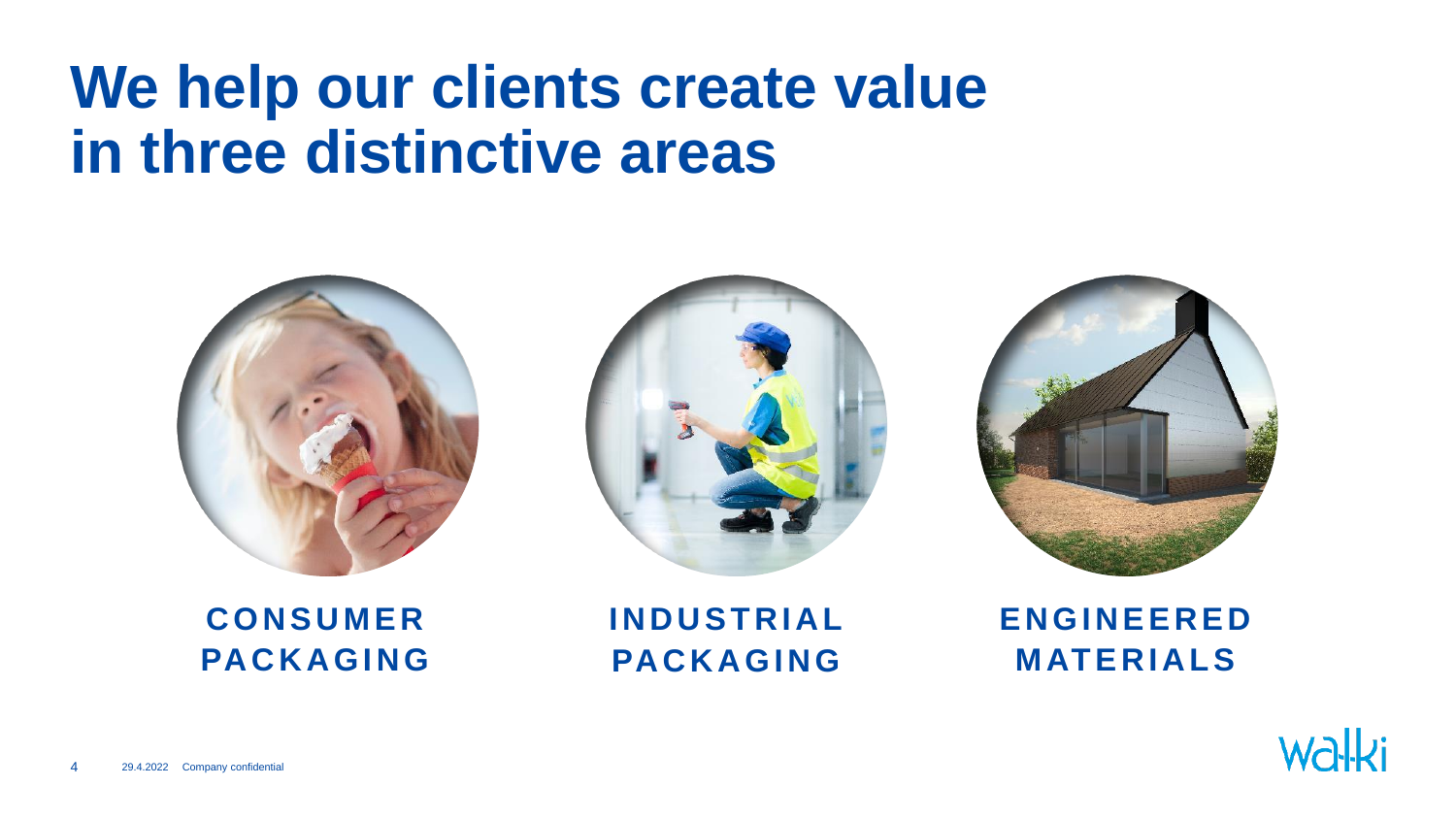### **We help our clients create value in three distinctive areas**







**C O N S U M E R PA C K A G I N G** **I N D U S T R I A L PA C K A G I N G**

**E N G I N E E R E D M AT E R I A L S**

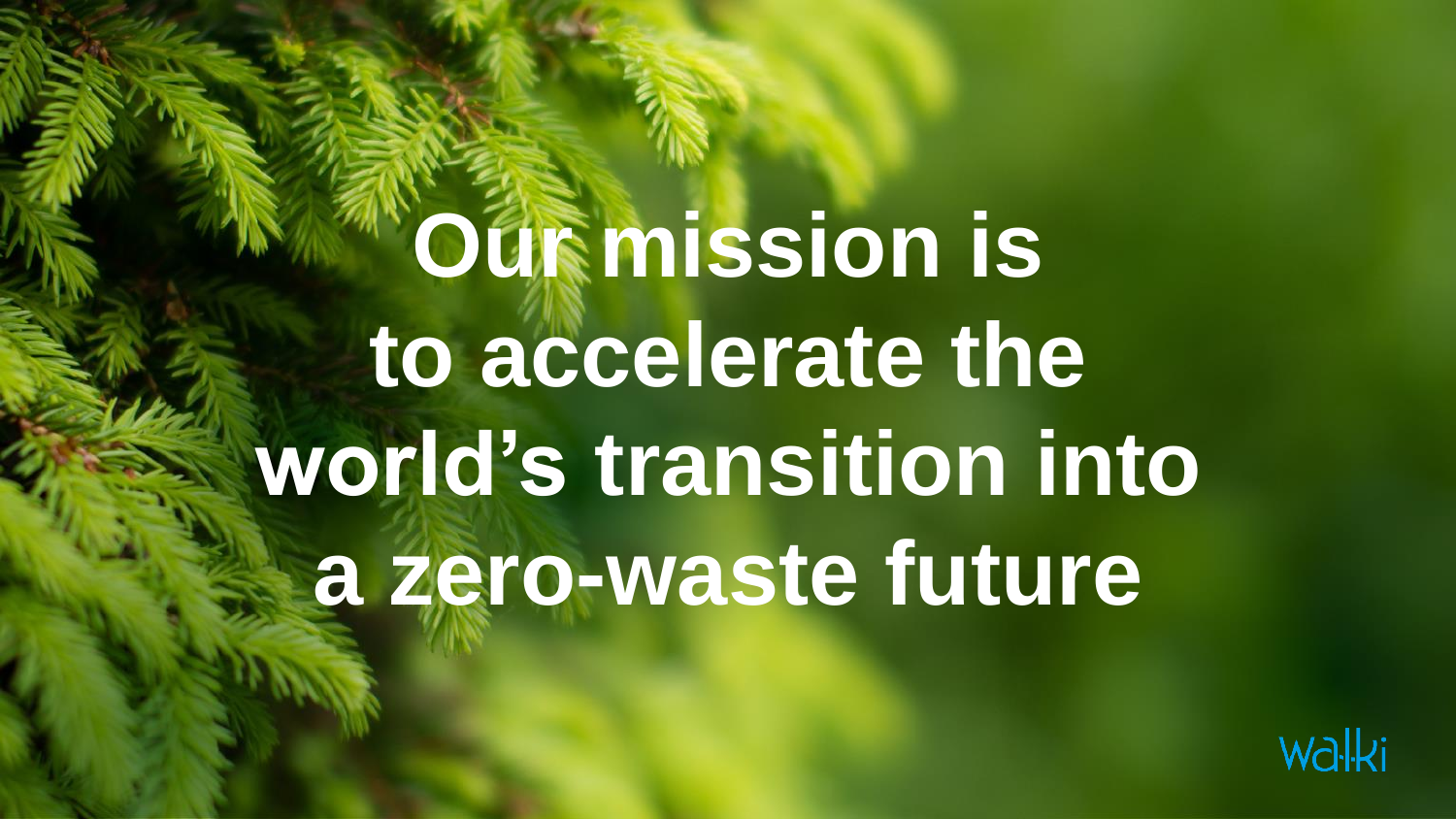## **Out mission is to accelerate the world's transition into a zero-waste future**

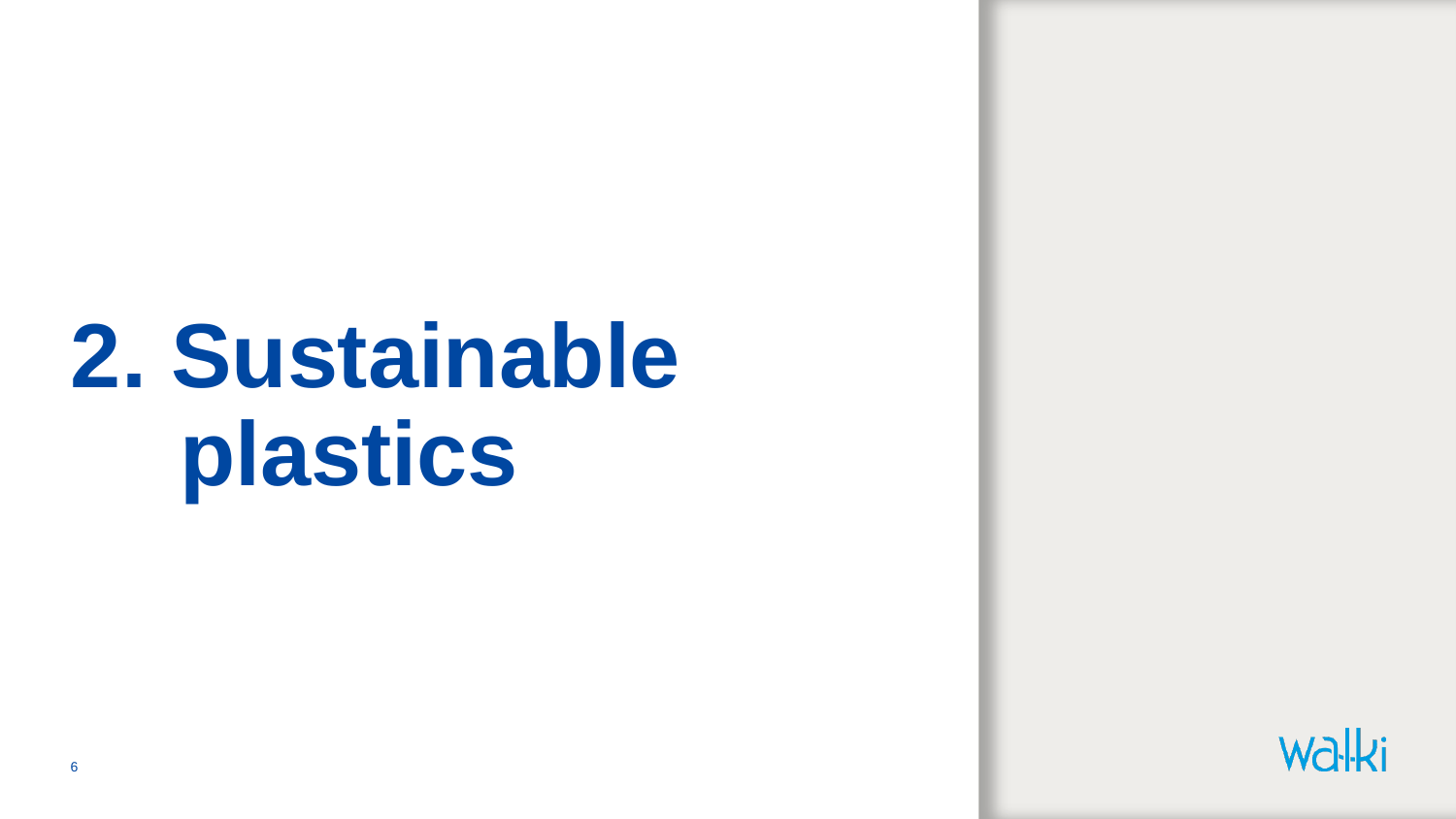### **2. Sustainable plastics**

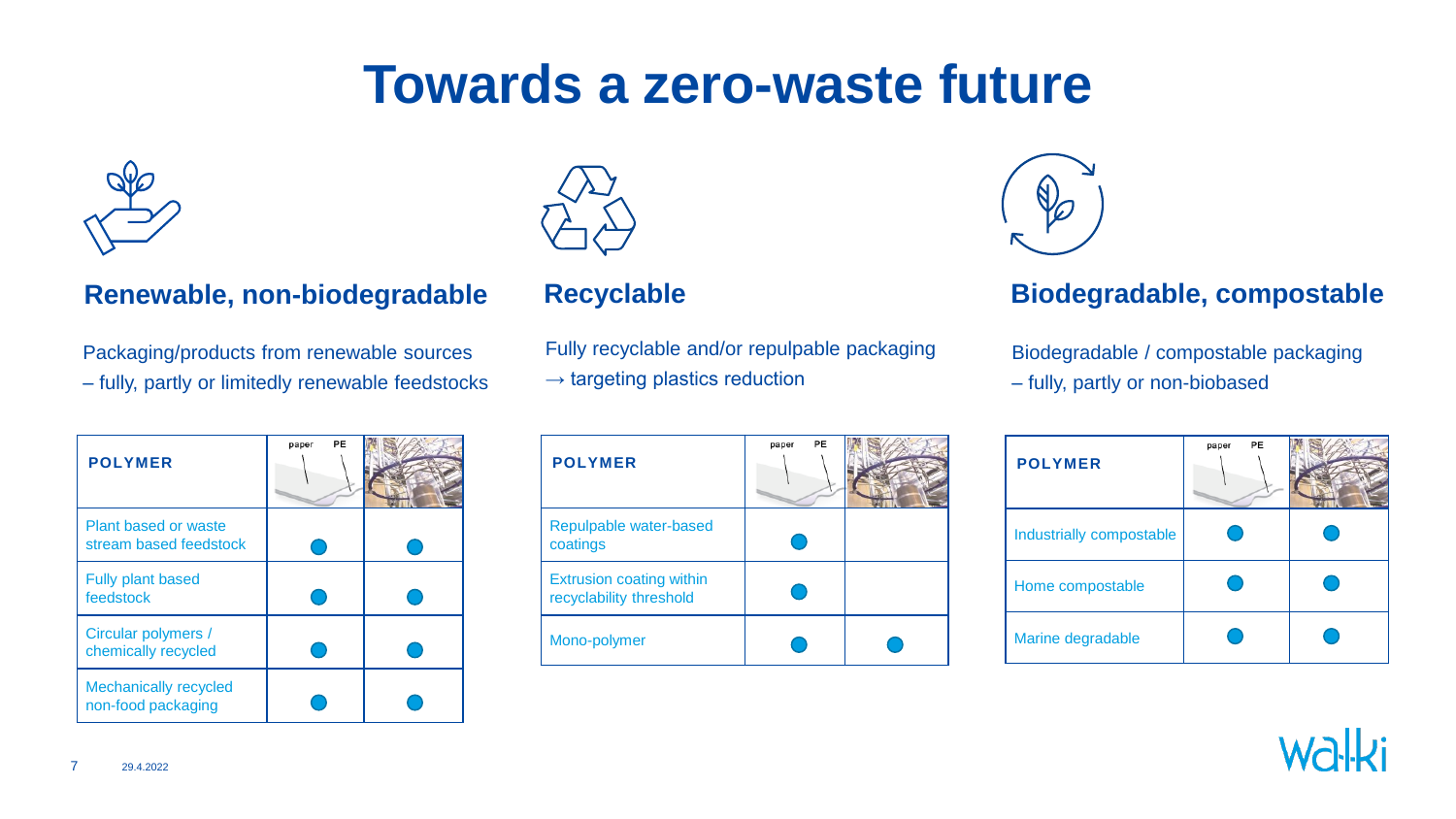### **Towards a zero-waste future**



#### **Renewable, non-biodegradable Recyclable Biodegradable, compostable**

Packaging/products from renewable sources – fully, partly or limitedly renewable feedstocks

| <b>POLYMER</b>                                     | PE<br>paper |  |
|----------------------------------------------------|-------------|--|
| Plant based or waste<br>stream based feedstock     |             |  |
| <b>Fully plant based</b><br>feedstock              |             |  |
| Circular polymers /<br>chemically recycled         |             |  |
| <b>Mechanically recycled</b><br>non-food packaging |             |  |



Fully recyclable and/or repulpable packaging  $\rightarrow$  targeting plastics reduction

| <b>POLYMER</b>                                             | PE<br>paper |  |
|------------------------------------------------------------|-------------|--|
| Repulpable water-based<br>coatings                         |             |  |
| <b>Extrusion coating within</b><br>recyclability threshold |             |  |
| Mono-polymer                                               |             |  |



Biodegradable / compostable packaging – fully, partly or non-biobased

| <b>POLYMER</b>           | PE<br>paper |  |
|--------------------------|-------------|--|
| Industrially compostable |             |  |
| Home compostable         |             |  |
| Marine degradable        |             |  |

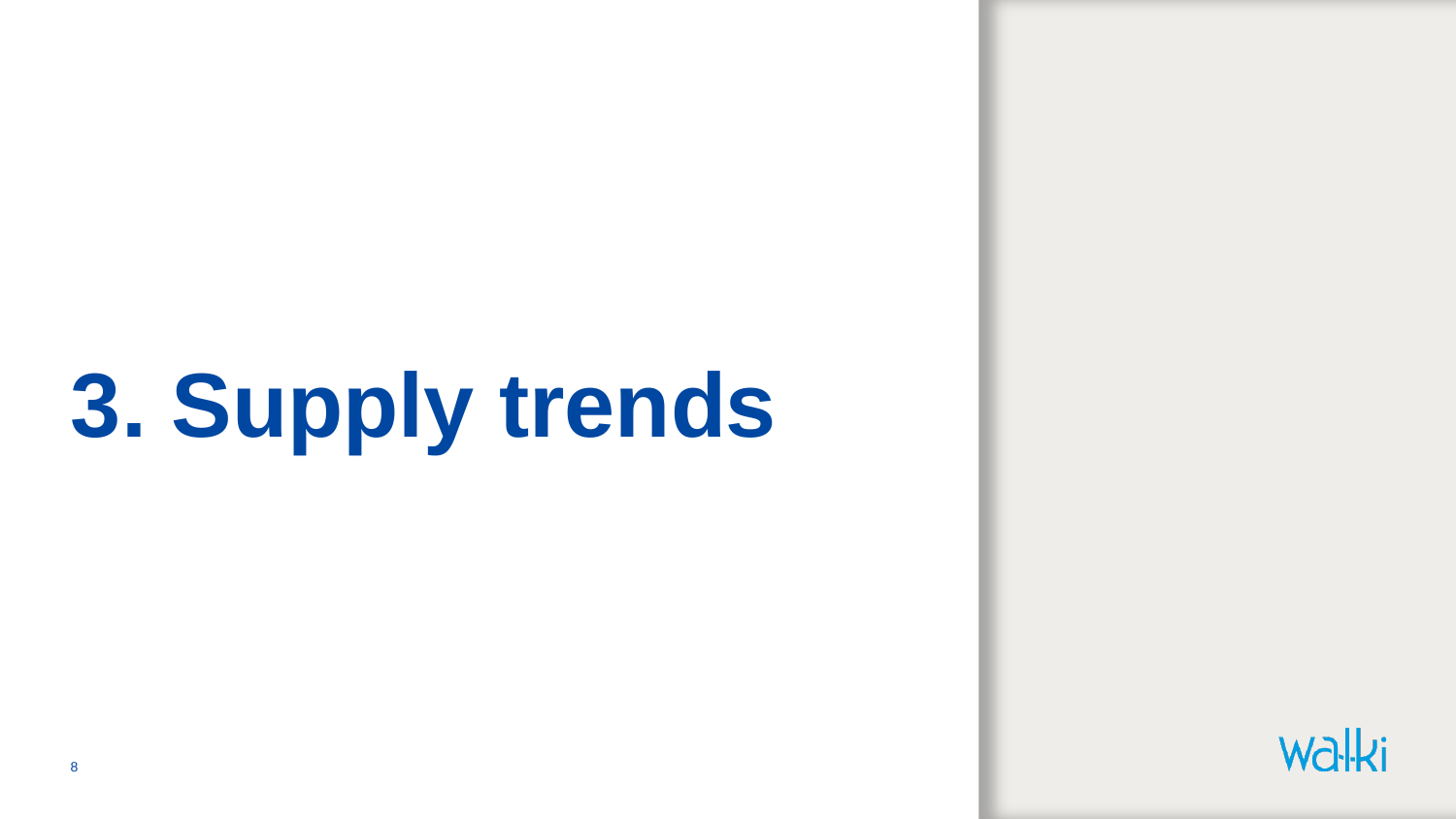## **3. Supply trends**

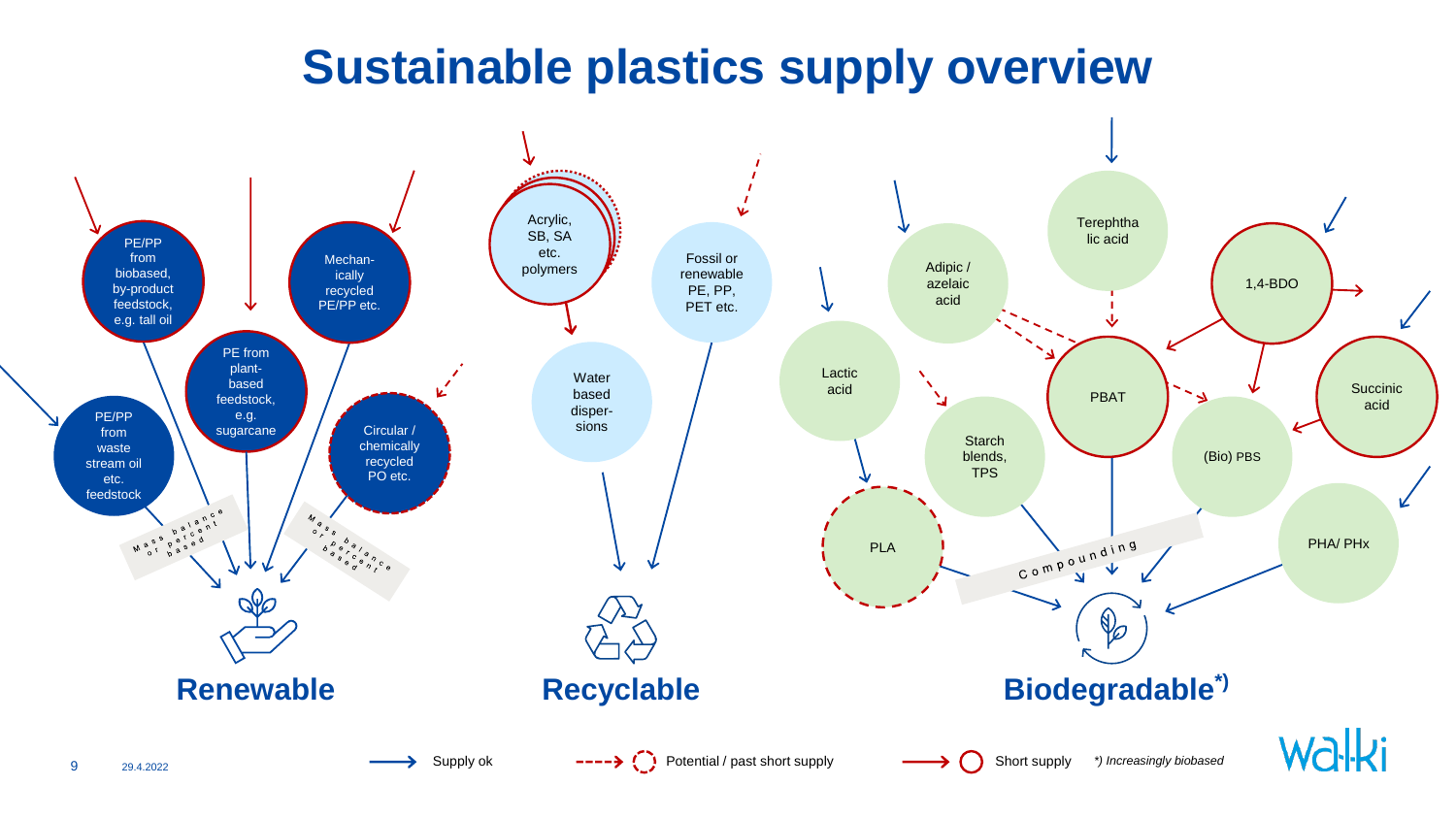### **Sustainable plastics supply overview**

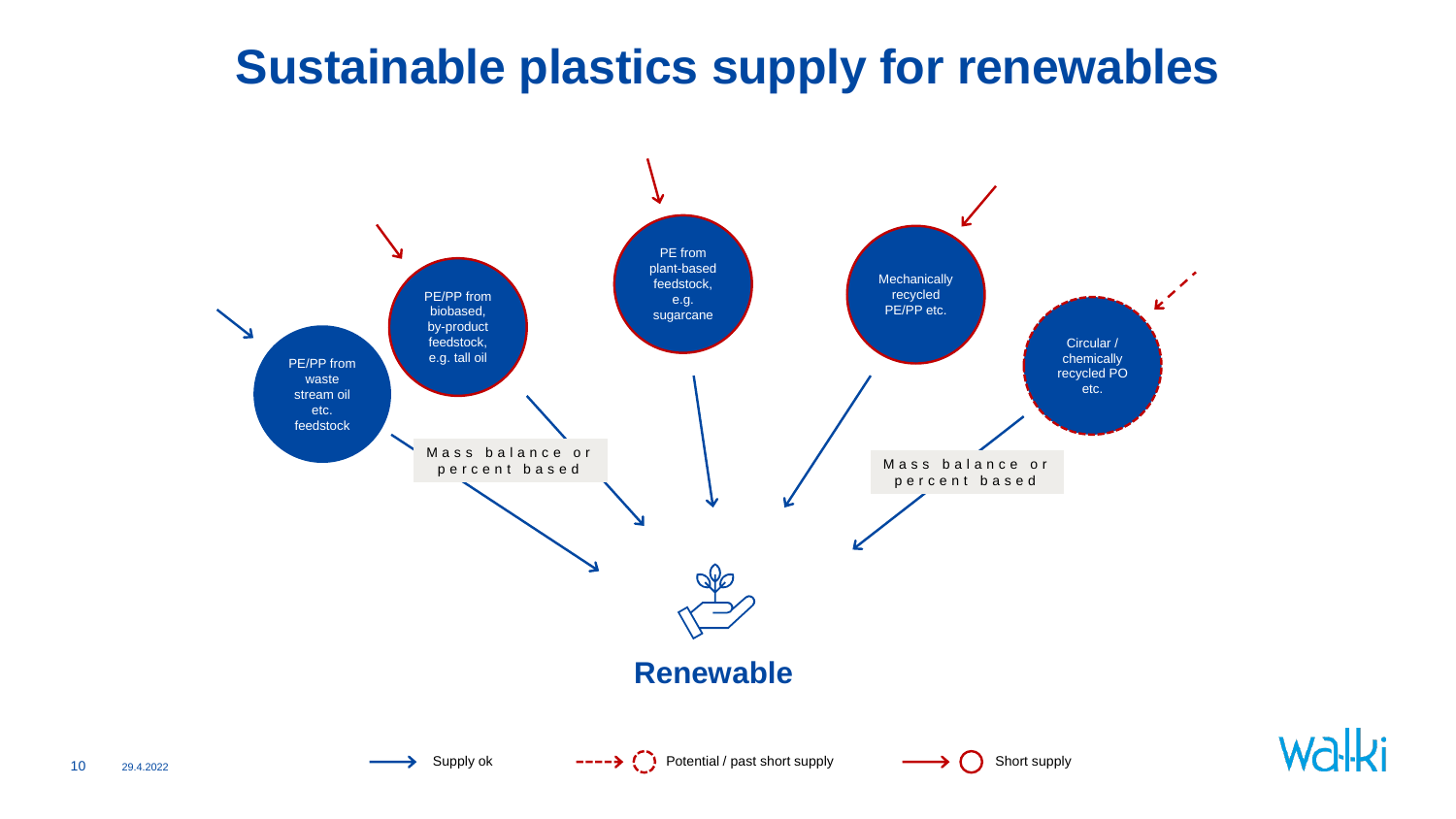### **Sustainable plastics supply for renewables**

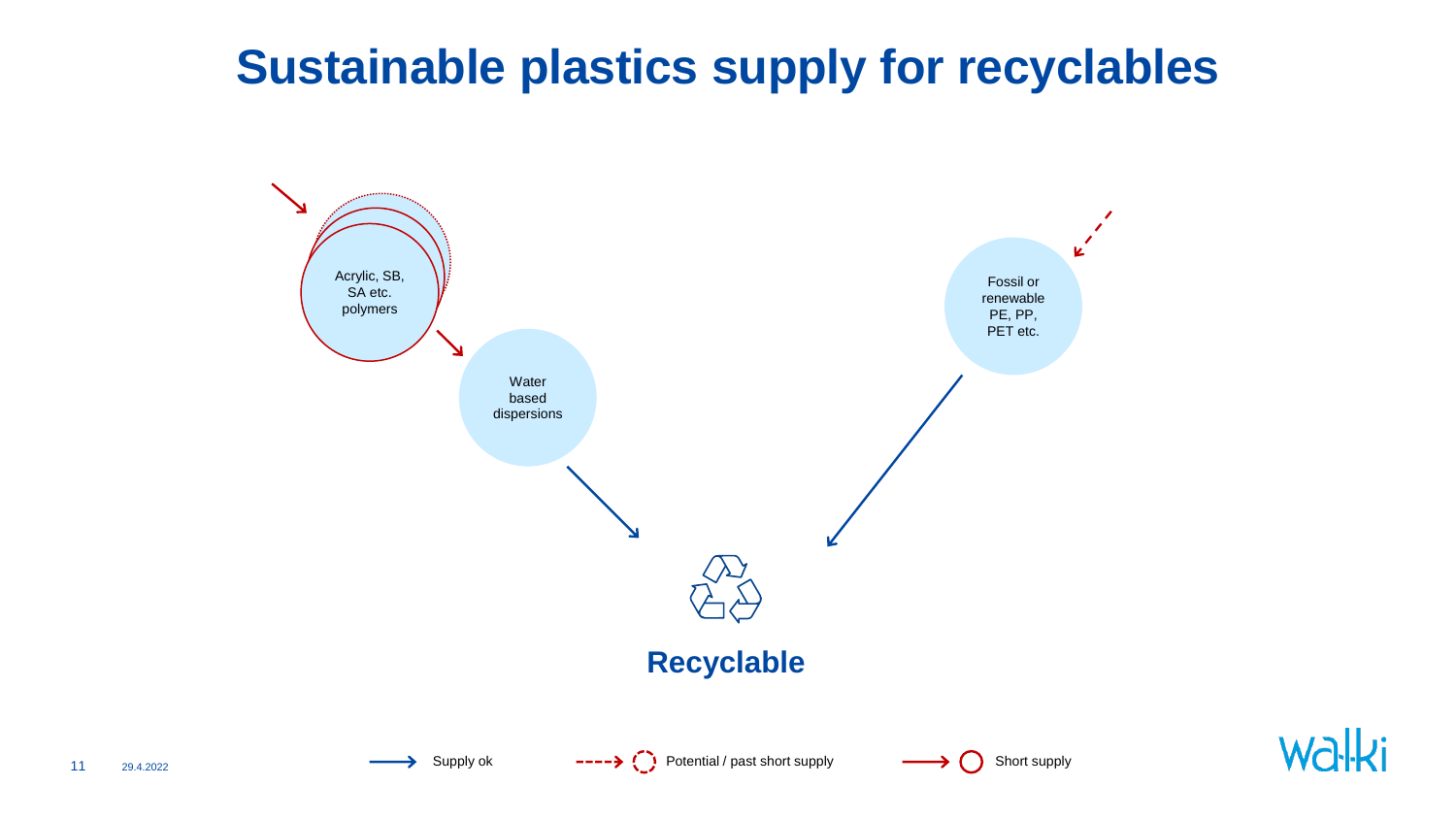### **Sustainable plastics supply for recyclables**



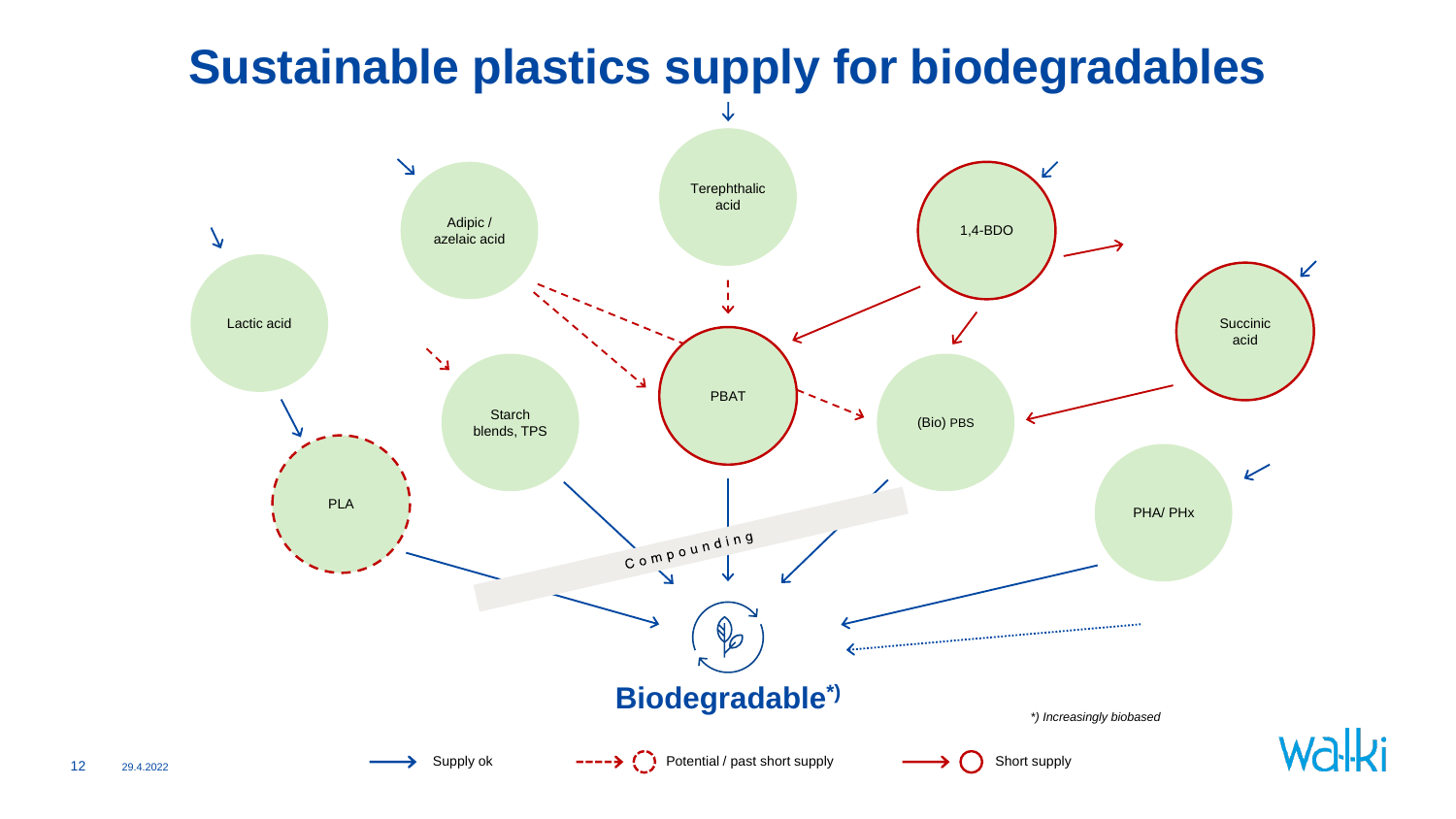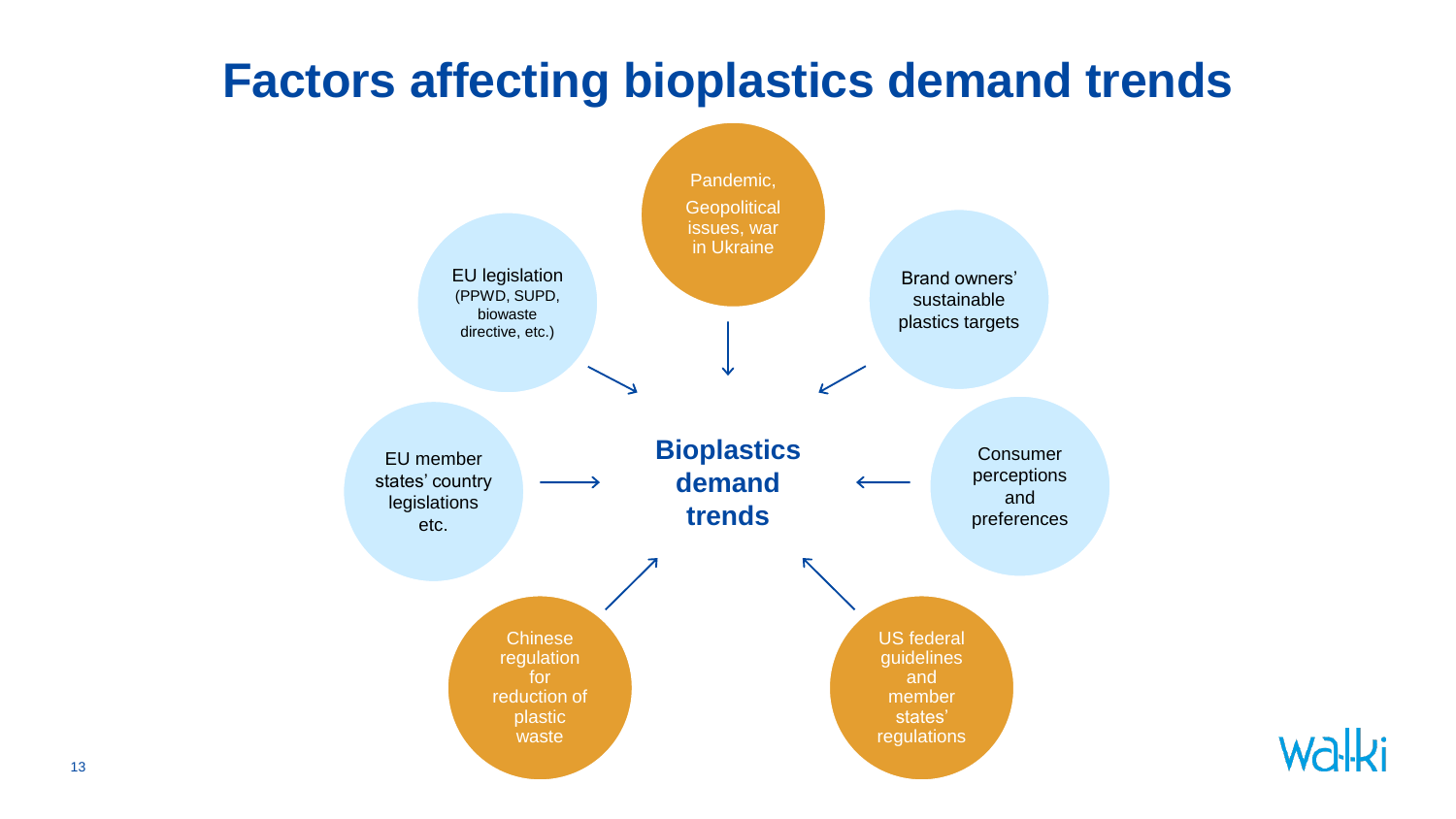### **Factors affecting bioplastics demand trends**



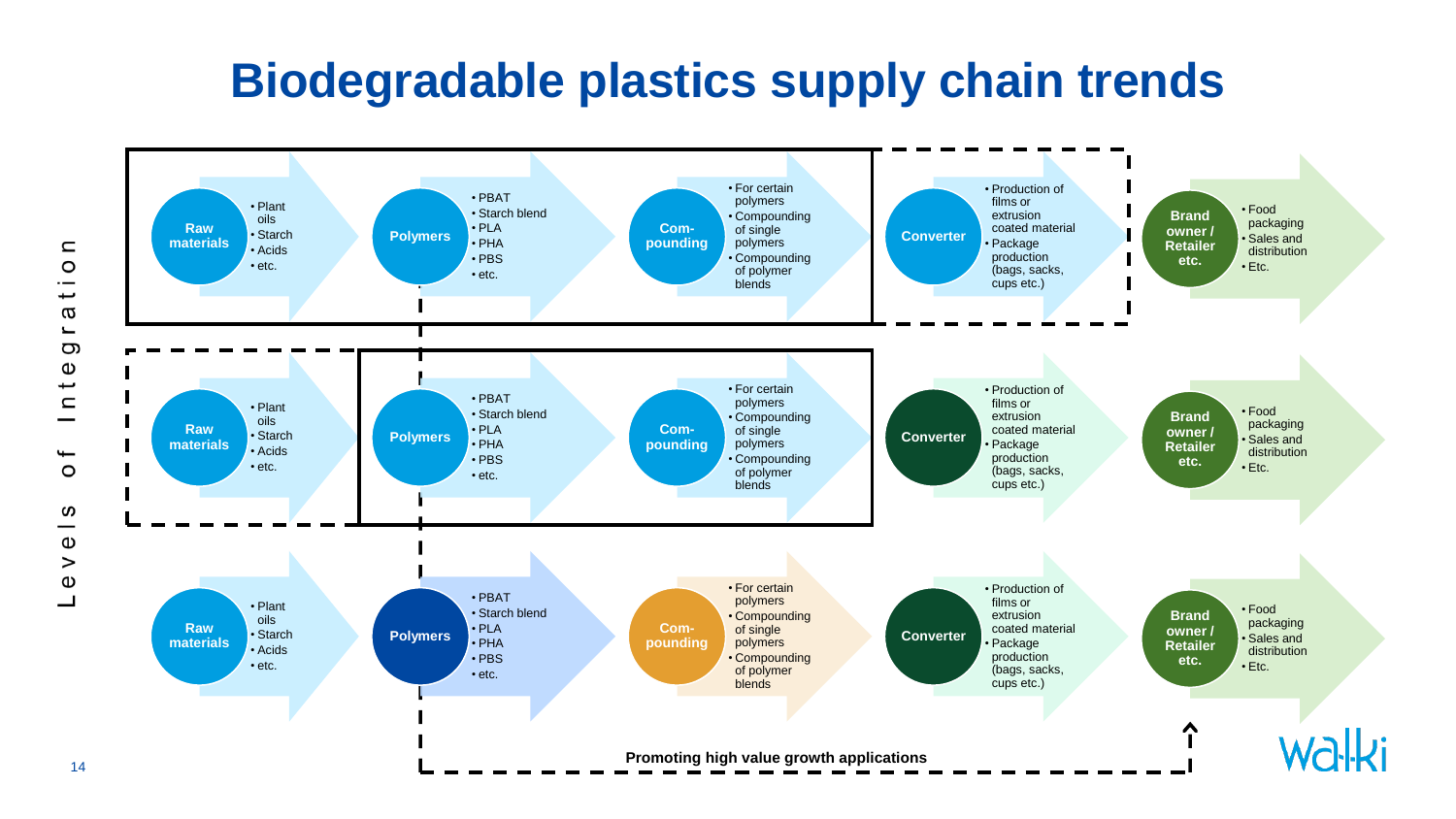### **Biodegradable plastics supply chain trends**

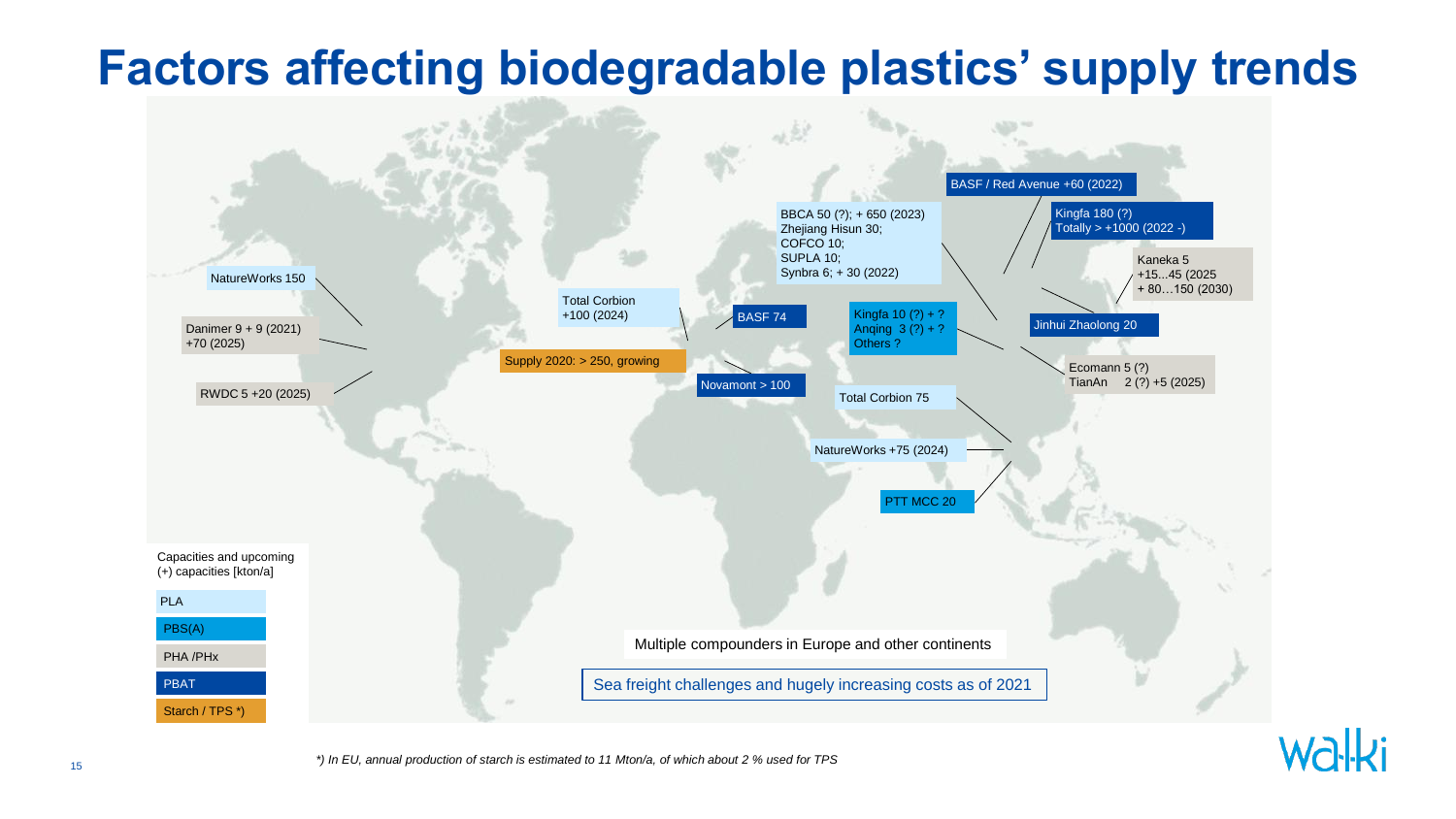### **Factors affecting biodegradable plastics' supply trends**



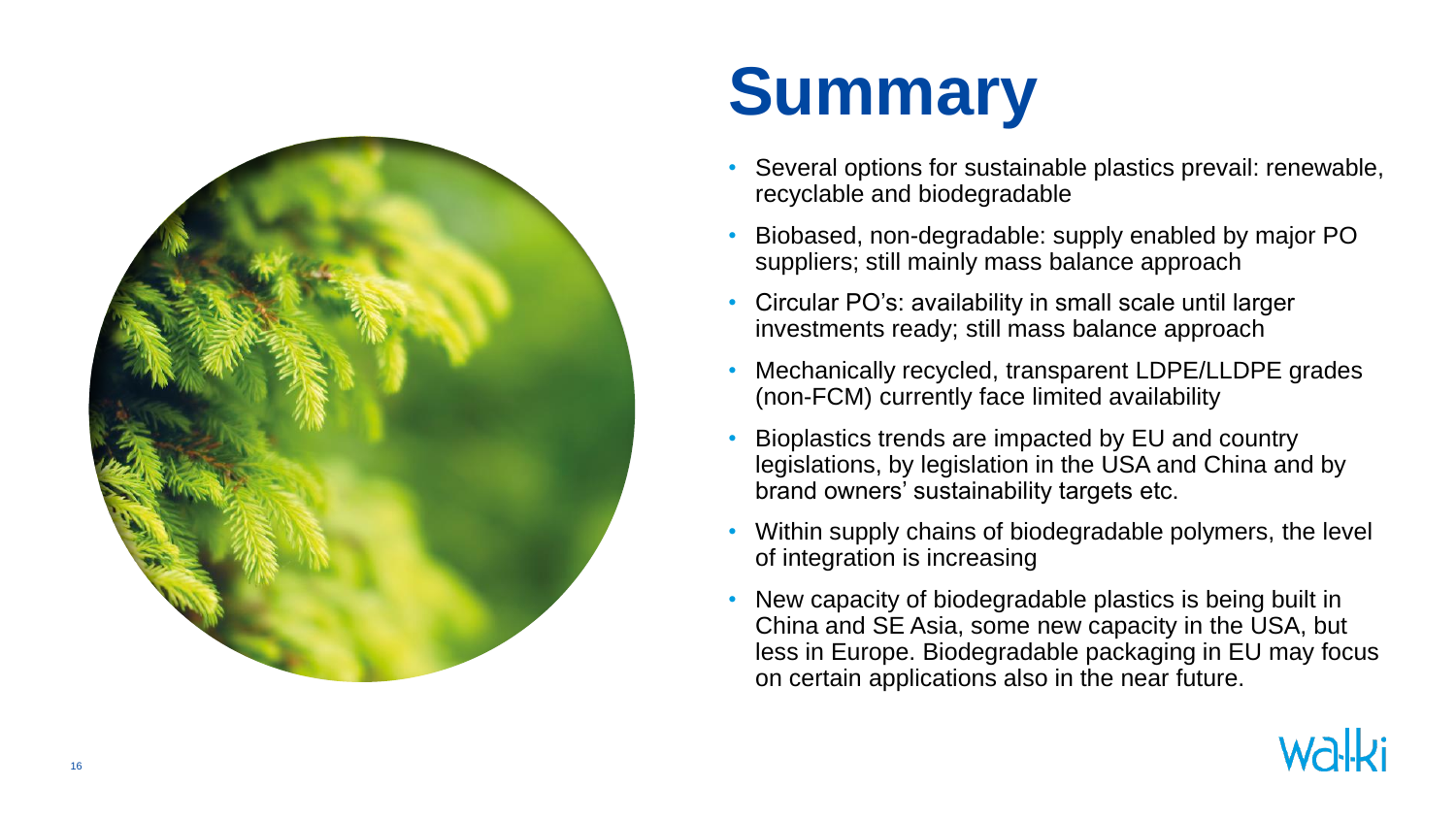

### **Summary**

- Several options for sustainable plastics prevail: renewable, recyclable and biodegradable
- Biobased, non-degradable: supply enabled by major PO suppliers; still mainly mass balance approach
- Circular PO's: availability in small scale until larger investments ready; still mass balance approach
- Mechanically recycled, transparent LDPE/LLDPE grades (non -FCM) currently face limited availability
- Bioplastics trends are impacted by EU and country legislations, by legislation in the USA and China and by brand owners' sustainability targets etc.
- Within supply chains of biodegradable polymers, the level of integration is increasing
- New capacity of biodegradable plastics is being built in China and SE Asia, some new capacity in the USA, but less in Europe. Biodegradable packaging in EU may focus on certain applications also in the near future .

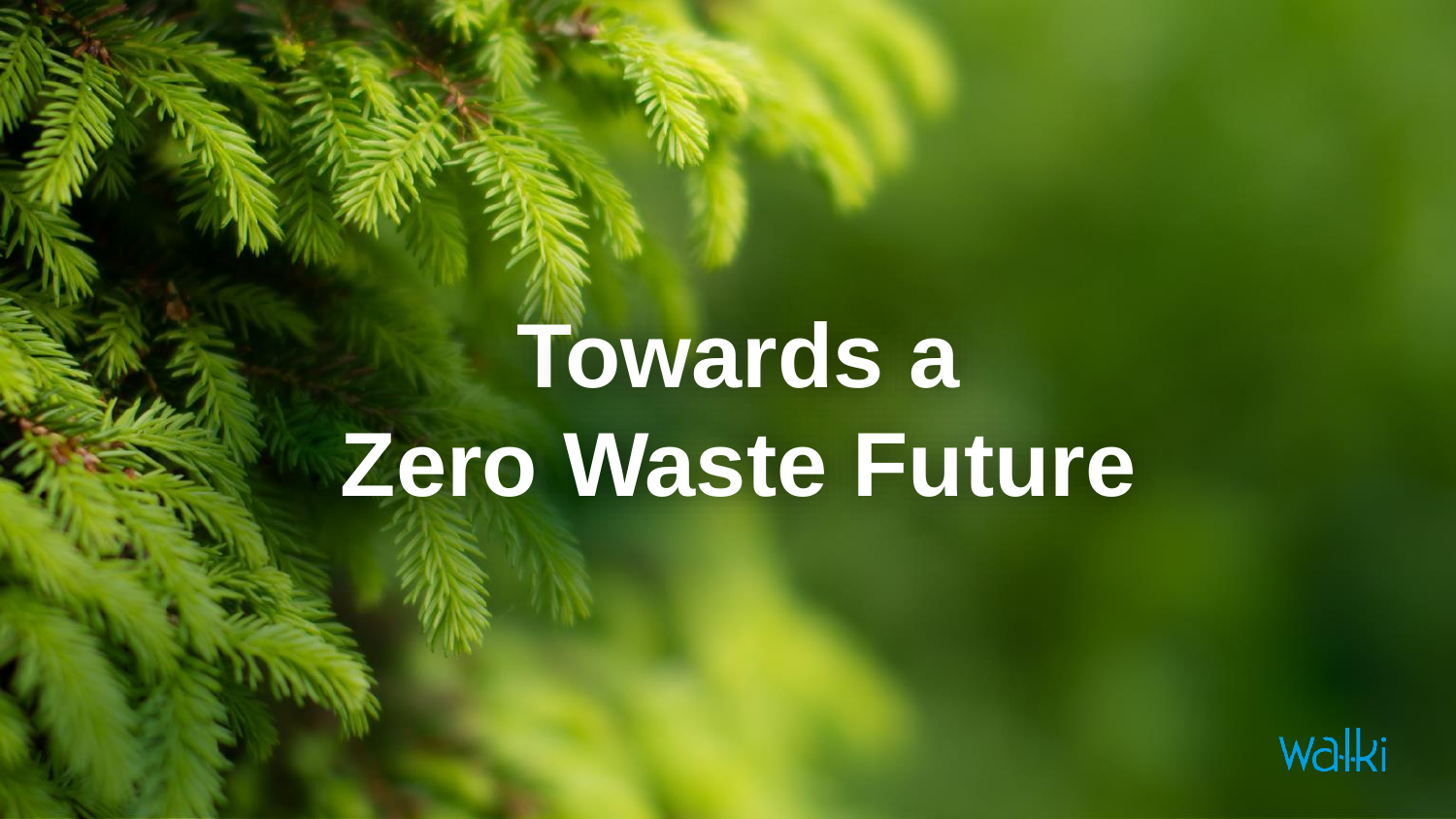### **Towards a Zero Waste Future**